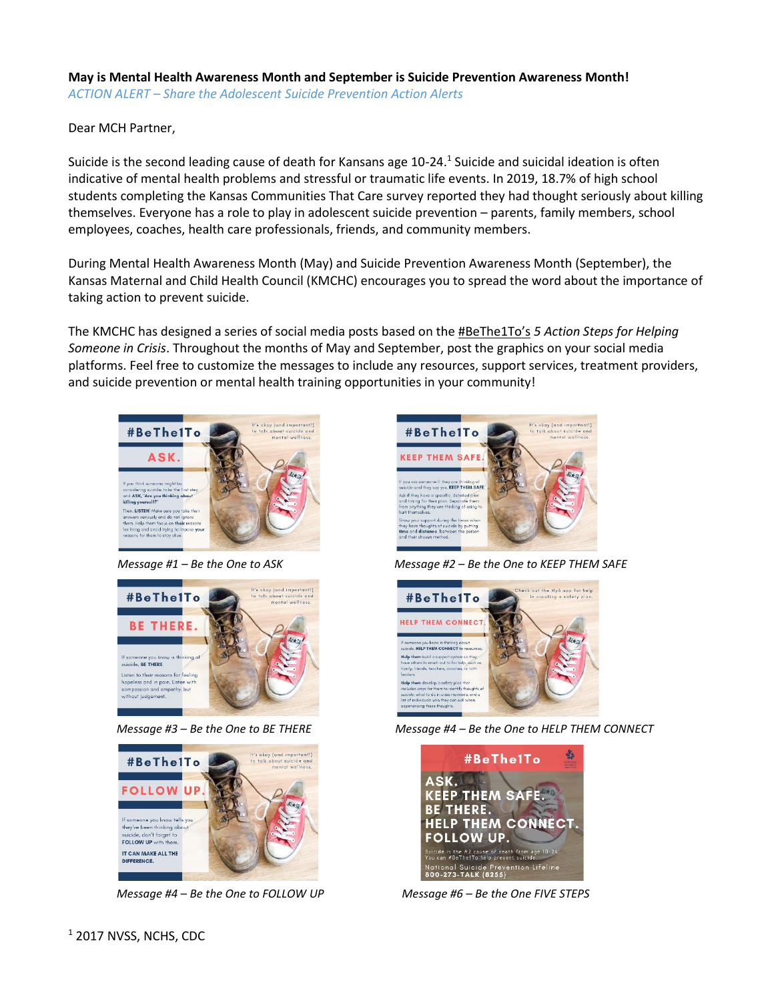## **May is Mental Health Awareness Month and September is Suicide Prevention Awareness Month!**  *ACTION ALERT – Share the Adolescent Suicide Prevention Action Alerts*

Dear MCH Partner,

Suicide is the second leading cause of death for Kansans age 10-24.<sup>1</sup> Suicide and suicidal ideation is often indicative of mental health problems and stressful or traumatic life events. In 2019, 18.7% of high school students completing the Kansas Communities That Care survey reported they had thought seriously about killing themselves. Everyone has a role to play in adolescent suicide prevention – parents, family members, school employees, coaches, health care professionals, friends, and community members.

During Mental Health Awareness Month (May) and Suicide Prevention Awareness Month (September), the Kansas Maternal and Child Health Council (KMCHC) encourages you to spread the word about the importance of taking action to prevent suicide.

The KMCHC has designed a series of social media posts based on the #BeThe1To's *5 Action Steps for Helping Someone in Crisis*. Throughout the months of May and September, post the graphics on your social media platforms. Feel free to customize the messages to include any resources, support services, treatment providers, and suicide prevention or mental health training opportunities in your community!



*Message #1 – Be the One to ASK*





*Message #4 – Be the One to FOLLOW UP Message #6 – Be the One FIVE STEPS*



*Message #2 – Be the One to KEEP THEM SAFE*



*Message #3 – Be the One to BE THERE Message #4 – Be the One to HELP THEM CONNECT*